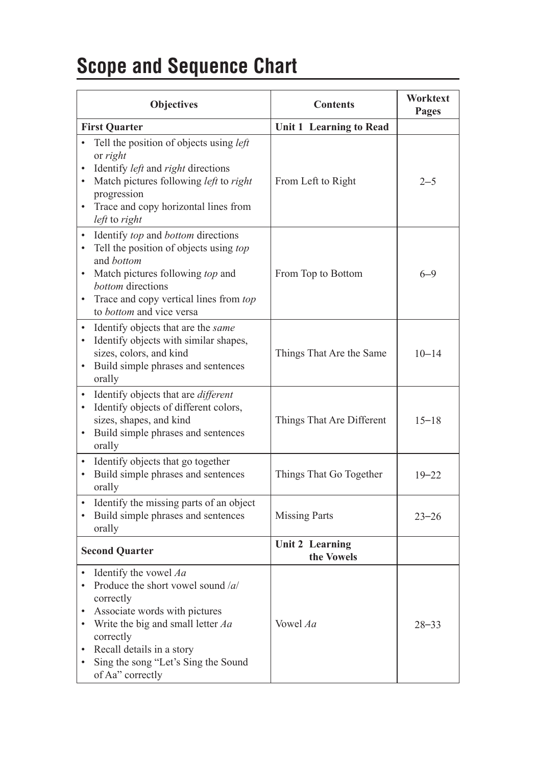## **Scope and Sequence Chart**

|                                     | Objectives                                                                                                                                                                                                                                           | <b>Contents</b>                      | Worktext<br>Pages |
|-------------------------------------|------------------------------------------------------------------------------------------------------------------------------------------------------------------------------------------------------------------------------------------------------|--------------------------------------|-------------------|
|                                     | <b>First Quarter</b>                                                                                                                                                                                                                                 | <b>Unit 1 Learning to Read</b>       |                   |
| $\bullet$<br>$\bullet$              | Tell the position of objects using <i>left</i><br>or right<br>Identify <i>left</i> and <i>right</i> directions<br>Match pictures following left to right<br>progression<br>• Trace and copy horizontal lines from<br>left to right                   | From Left to Right                   | $2 - 5$           |
| $\bullet$                           | Identify top and bottom directions<br>Tell the position of objects using top<br>and bottom<br>Match pictures following top and<br>bottom directions<br>Trace and copy vertical lines from top<br>to bottom and vice versa                            | From Top to Bottom                   | $6 - 9$           |
| $\bullet$<br>$\bullet$<br>$\bullet$ | Identify objects that are the same<br>Identify objects with similar shapes,<br>sizes, colors, and kind<br>Build simple phrases and sentences<br>orally                                                                                               | Things That Are the Same             | $10 - 14$         |
| $\bullet$<br>$\bullet$              | Identify objects that are <i>different</i><br>Identify objects of different colors,<br>sizes, shapes, and kind<br>Build simple phrases and sentences<br>orally                                                                                       | Things That Are Different            | $15 - 18$         |
| $\bullet$<br>$\bullet$              | Identify objects that go together<br>Build simple phrases and sentences<br>orally                                                                                                                                                                    | Things That Go Together              | $19 - 22$         |
|                                     | Identify the missing parts of an object<br>Build simple phrases and sentences<br>orally                                                                                                                                                              | <b>Missing Parts</b>                 | $23 - 26$         |
|                                     | <b>Second Quarter</b>                                                                                                                                                                                                                                | <b>Unit 2 Learning</b><br>the Vowels |                   |
| $\bullet$<br>٠<br>$\bullet$<br>٠    | Identify the vowel Aa<br>Produce the short vowel sound /a/<br>correctly<br>Associate words with pictures<br>Write the big and small letter $Aa$<br>correctly<br>Recall details in a story<br>Sing the song "Let's Sing the Sound<br>of Aa" correctly | Vowel Aa                             | $28 - 33$         |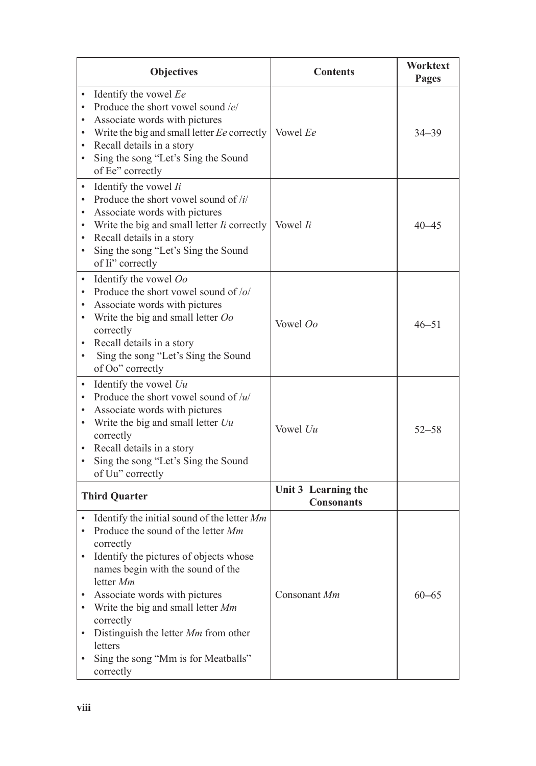|                                                       | <b>Objectives</b>                                                                                                                                                                                                                                                                                                                                                                    | <b>Contents</b>                          | Worktext<br>Pages |
|-------------------------------------------------------|--------------------------------------------------------------------------------------------------------------------------------------------------------------------------------------------------------------------------------------------------------------------------------------------------------------------------------------------------------------------------------------|------------------------------------------|-------------------|
| $\bullet$<br>$\bullet$<br>$\bullet$<br>$\bullet$      | Identify the vowel Ee<br>Produce the short vowel sound $/e$<br>Associate words with pictures<br>Write the big and small letter Ee correctly<br>Recall details in a story<br>Sing the song "Let's Sing the Sound<br>of Ee" correctly                                                                                                                                                  | Vowel Ee                                 | $34 - 39$         |
| $\bullet$<br>$\bullet$<br>٠<br>٠<br>٠<br>٠            | Identify the vowel Ii<br>Produce the short vowel sound of $\frac{i}{i}$<br>Associate words with pictures<br>Write the big and small letter <i>Ii</i> correctly<br>Recall details in a story<br>Sing the song "Let's Sing the Sound<br>of Ii" correctly                                                                                                                               | Vowel <i>Ii</i>                          | 40–45             |
| $\bullet$<br>$\bullet$<br>$\bullet$<br>$\bullet$<br>٠ | Identify the vowel Oo<br>Produce the short vowel sound of /o/<br>Associate words with pictures<br>Write the big and small letter Oo<br>correctly<br>Recall details in a story<br>Sing the song "Let's Sing the Sound<br>of Oo" correctly                                                                                                                                             | Vowel Oo                                 | $46 - 51$         |
| $\bullet$<br>٠<br>٠<br>٠<br>٠<br>٠                    | Identify the vowel $Uu$<br>Produce the short vowel sound of $/u/$<br>Associate words with pictures<br>Write the big and small letter $Uu$<br>correctly<br>Recall details in a story<br>Sing the song "Let's Sing the Sound<br>of Uu" correctly                                                                                                                                       | Vowel Uu                                 | $52 - 58$         |
|                                                       | <b>Third Quarter</b>                                                                                                                                                                                                                                                                                                                                                                 | Unit 3 Learning the<br><b>Consonants</b> |                   |
| $\bullet$<br>$\bullet$<br>$\bullet$<br>٠              | Identify the initial sound of the letter Mm<br>Produce the sound of the letter Mm<br>correctly<br>Identify the pictures of objects whose<br>names begin with the sound of the<br>letter Mm<br>Associate words with pictures<br>Write the big and small letter Mm<br>correctly<br>Distinguish the letter Mm from other<br>letters<br>Sing the song "Mm is for Meatballs"<br>correctly | Consonant Mm                             | $60 - 65$         |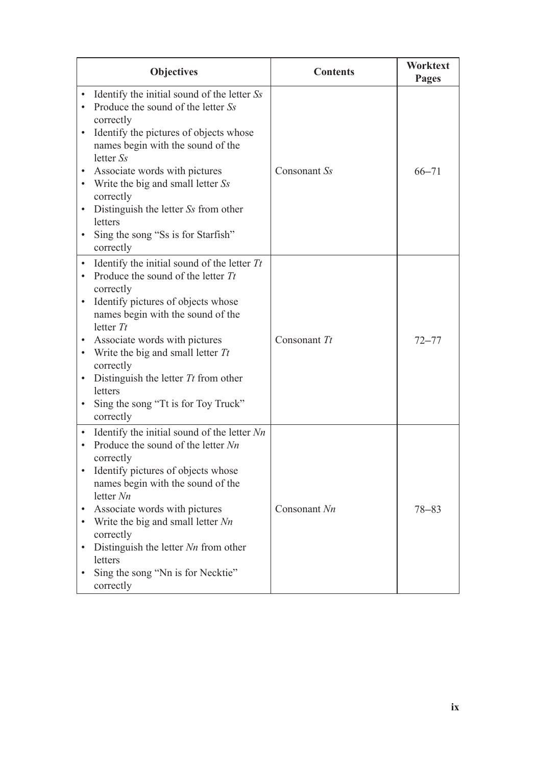|                                                               | <b>Objectives</b>                                                                                                                                                                                                                                                                                                                                                                          | <b>Contents</b> | Worktext<br>Pages |
|---------------------------------------------------------------|--------------------------------------------------------------------------------------------------------------------------------------------------------------------------------------------------------------------------------------------------------------------------------------------------------------------------------------------------------------------------------------------|-----------------|-------------------|
| $\bullet$<br>$\bullet$<br>$\bullet$<br>$\bullet$              | Identify the initial sound of the letter Ss<br>Produce the sound of the letter Ss<br>correctly<br>Identify the pictures of objects whose<br>names begin with the sound of the<br>letter Ss<br>Associate words with pictures<br>Write the big and small letter Ss<br>correctly<br>Distinguish the letter Ss from other<br>letters<br>Sing the song "Ss is for Starfish"<br>correctly        | Consonant Ss    | $66 - 71$         |
| $\bullet$<br>$\bullet$<br>$\bullet$<br>$\bullet$<br>$\bullet$ | Identify the initial sound of the letter $Tt$<br>Produce the sound of the letter $Tt$<br>correctly<br>Identify pictures of objects whose<br>names begin with the sound of the<br>letter $Tt$<br>Associate words with pictures<br>Write the big and small letter $Tt$<br>correctly<br>Distinguish the letter $Tt$ from other<br>letters<br>Sing the song "Tt is for Toy Truck"<br>correctly | Consonant $Tt$  | $72 - 77$         |
| $\bullet$<br>$\bullet$<br>$\bullet$<br>$\bullet$<br>$\bullet$ | Identify the initial sound of the letter Nn<br>Produce the sound of the letter $Nn$<br>correctly<br>Identify pictures of objects whose<br>names begin with the sound of the<br>letter $Nn$<br>Associate words with pictures<br>Write the big and small letter $Nn$<br>correctly<br>Distinguish the letter $Nn$ from other<br>letters<br>Sing the song "Nn is for Necktie"<br>correctly     | Consonant Nn    | $78 - 83$         |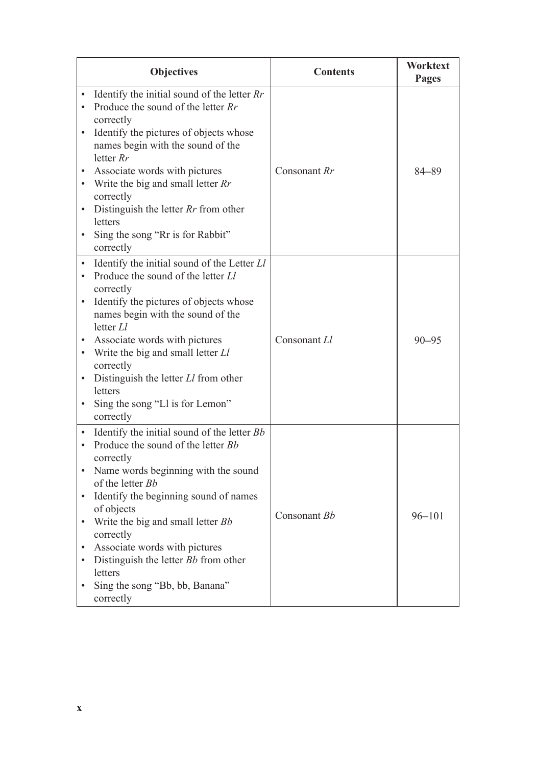|                                                               | <b>Objectives</b>                                                                                                                                                                                                                                                                                                                                                                                            | <b>Contents</b> | Worktext<br>Pages |
|---------------------------------------------------------------|--------------------------------------------------------------------------------------------------------------------------------------------------------------------------------------------------------------------------------------------------------------------------------------------------------------------------------------------------------------------------------------------------------------|-----------------|-------------------|
| $\bullet$<br>$\bullet$<br>$\bullet$                           | Identify the initial sound of the letter $Rr$<br>Produce the sound of the letter Rr<br>correctly<br>Identify the pictures of objects whose<br>names begin with the sound of the<br>letter $Rr$<br>Associate words with pictures<br>Write the big and small letter $Rr$<br>correctly<br>Distinguish the letter $Rr$ from other<br>letters<br>Sing the song "Rr is for Rabbit"<br>correctly                    | Consonant Rr    | $84 - 89$         |
| $\bullet$<br>$\bullet$<br>$\bullet$<br>$\bullet$              | Identify the initial sound of the Letter Ll<br>Produce the sound of the letter Ll<br>correctly<br>Identify the pictures of objects whose<br>names begin with the sound of the<br>letter $LI$<br>Associate words with pictures<br>Write the big and small letter Ll<br>correctly<br>Distinguish the letter $Ll$ from other<br>letters<br>Sing the song "Ll is for Lemon"<br>correctly                         | Consonant Ll    | $90 - 95$         |
| $\bullet$<br>$\bullet$<br>$\bullet$<br>$\bullet$<br>$\bullet$ | Identify the initial sound of the letter Bb<br>Produce the sound of the letter Bb<br>correctly<br>Name words beginning with the sound<br>of the letter Bb<br>Identify the beginning sound of names<br>of objects<br>Write the big and small letter Bb<br>correctly<br>Associate words with pictures<br>Distinguish the letter <i>Bb</i> from other<br>letters<br>Sing the song "Bb, bb, Banana"<br>correctly | Consonant Bb    | $96 - 101$        |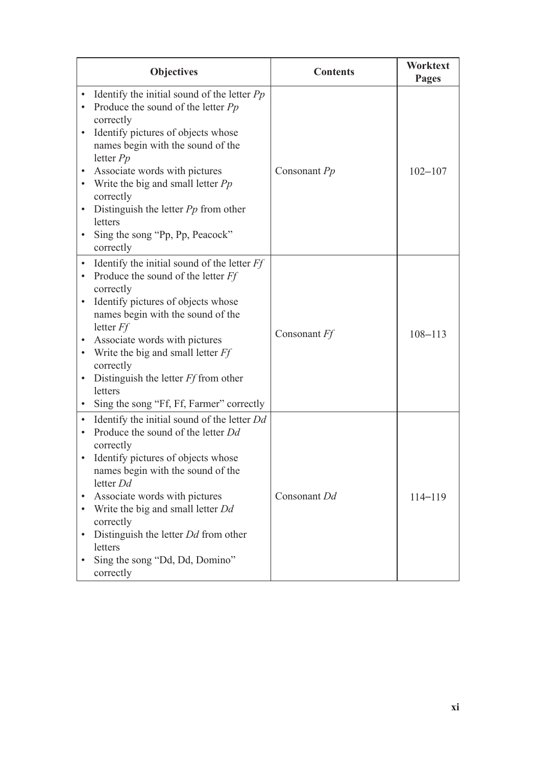| <b>Objectives</b>                                                                                                                                                                                                                                                                                                                                                                                                                                       | <b>Contents</b> | Worktext<br>Pages |
|---------------------------------------------------------------------------------------------------------------------------------------------------------------------------------------------------------------------------------------------------------------------------------------------------------------------------------------------------------------------------------------------------------------------------------------------------------|-----------------|-------------------|
| Identify the initial sound of the letter $Pp$<br>Produce the sound of the letter $Pp$<br>$\bullet$<br>correctly<br>Identify pictures of objects whose<br>$\bullet$<br>names begin with the sound of the<br>letter $Pp$<br>Associate words with pictures<br>Write the big and small letter $Pp$<br>$\bullet$<br>correctly<br>Distinguish the letter $Pp$ from other<br>$\bullet$<br>letters<br>Sing the song "Pp, Pp, Peacock"<br>$\bullet$<br>correctly | Consonant Pp    | $102 - 107$       |
| Identify the initial sound of the letter $Ff$<br>Produce the sound of the letter Ff<br>$\bullet$<br>correctly<br>Identify pictures of objects whose<br>$\bullet$<br>names begin with the sound of the<br>letter $Ff$<br>Associate words with pictures<br>Write the big and small letter Ff<br>$\bullet$<br>correctly<br>Distinguish the letter $Ff$ from other<br>letters<br>Sing the song "Ff, Ff, Farmer" correctly                                   | Consonant Ff    | $108 - 113$       |
| Identify the initial sound of the letter Dd<br>$\bullet$<br>Produce the sound of the letter Dd<br>correctly<br>Identify pictures of objects whose<br>$\bullet$<br>names begin with the sound of the<br>letter Dd<br>Associate words with pictures<br>Write the big and small letter Dd<br>$\bullet$<br>correctly<br>Distinguish the letter Dd from other<br>$\bullet$<br>letters<br>Sing the song "Dd, Dd, Domino"<br>correctly                         | Consonant Dd    | $114 - 119$       |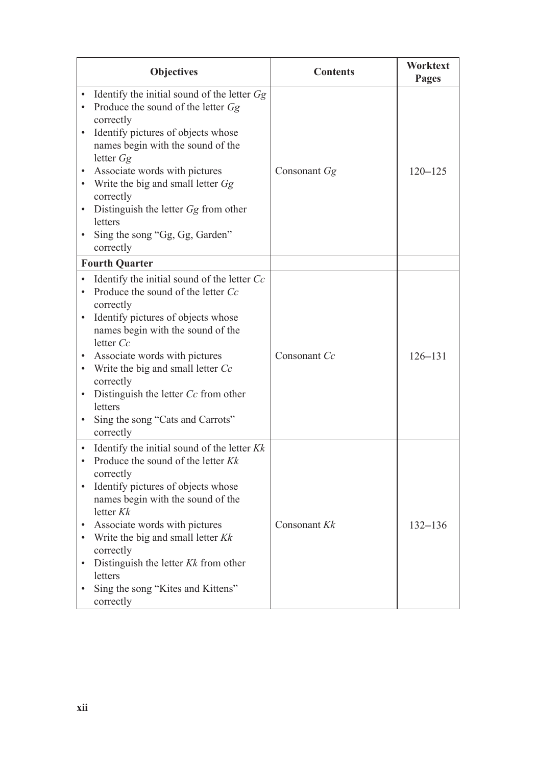|                                                               | <b>Objectives</b>                                                                                                                                                                                                                                                                                                                                                                        | <b>Contents</b> | Worktext<br>Pages |
|---------------------------------------------------------------|------------------------------------------------------------------------------------------------------------------------------------------------------------------------------------------------------------------------------------------------------------------------------------------------------------------------------------------------------------------------------------------|-----------------|-------------------|
| $\bullet$<br>$\bullet$<br>$\bullet$<br>$\bullet$              | Identify the initial sound of the letter $Gg$<br>Produce the sound of the letter Gg<br>correctly<br>Identify pictures of objects whose<br>names begin with the sound of the<br>letter $Gg$<br>Associate words with pictures<br>Write the big and small letter Gg<br>correctly<br>Distinguish the letter $Gg$ from other<br>letters<br>Sing the song "Gg, Gg, Garden"<br>correctly        | Consonant Gg    | $120 - 125$       |
|                                                               | <b>Fourth Quarter</b>                                                                                                                                                                                                                                                                                                                                                                    |                 |                   |
| $\bullet$<br>$\bullet$<br>$\bullet$<br>$\bullet$              | Identify the initial sound of the letter Cc<br>Produce the sound of the letter Cc<br>correctly<br>Identify pictures of objects whose<br>names begin with the sound of the<br>letter $Cc$<br>Associate words with pictures<br>Write the big and small letter Cc<br>correctly<br>Distinguish the letter Cc from other<br>letters<br>Sing the song "Cats and Carrots"<br>correctly          | Consonant Cc    | $126 - 131$       |
| $\bullet$<br>$\bullet$<br>$\bullet$<br>$\bullet$<br>$\bullet$ | Identify the initial sound of the letter $Kk$<br>Produce the sound of the letter $Kk$<br>correctly<br>Identify pictures of objects whose<br>names begin with the sound of the<br>letter $Kk$<br>Associate words with pictures<br>Write the big and small letter $Kk$<br>correctly<br>Distinguish the letter $Kk$ from other<br>letters<br>Sing the song "Kites and Kittens"<br>correctly | Consonant Kk    | $132 - 136$       |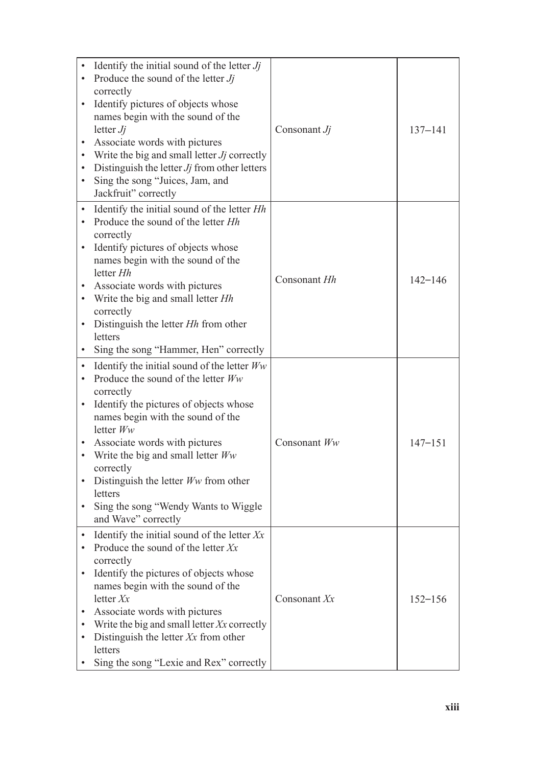| $\bullet$<br>$\bullet$<br>٠<br>٠<br>٠<br>٠                                              | Identify the initial sound of the letter $Jj$<br>Produce the sound of the letter $Jj$<br>correctly<br>Identify pictures of objects whose<br>names begin with the sound of the<br>letter $Jj$<br>Associate words with pictures<br>Write the big and small letter Jj correctly<br>Distinguish the letter $J_j$ from other letters<br>Sing the song "Juices, Jam, and<br>Jackfruit" correctly                | Consonant $Jj$ | $137 - 141$ |
|-----------------------------------------------------------------------------------------|-----------------------------------------------------------------------------------------------------------------------------------------------------------------------------------------------------------------------------------------------------------------------------------------------------------------------------------------------------------------------------------------------------------|----------------|-------------|
| $\bullet$<br>$\bullet$<br>$\bullet$<br>٠<br>$\bullet$<br>$\bullet$                      | Identify the initial sound of the letter Hh<br>Produce the sound of the letter <i>Hh</i><br>correctly<br>Identify pictures of objects whose<br>names begin with the sound of the<br>letter Hh<br>Associate words with pictures<br>Write the big and small letter Hh<br>correctly<br>Distinguish the letter Hh from other<br>letters<br>Sing the song "Hammer, Hen" correctly                              | Consonant Hh   | $142 - 146$ |
| $\bullet$<br>$\bullet$<br>$\bullet$<br>$\bullet$<br>$\bullet$<br>$\bullet$<br>$\bullet$ | Identify the initial sound of the letter $W_W$<br>Produce the sound of the letter Ww<br>correctly<br>Identify the pictures of objects whose<br>names begin with the sound of the<br>letter $Ww$<br>Associate words with pictures<br>Write the big and small letter $W_W$<br>correctly<br>Distinguish the letter $Ww$ from other<br>letters<br>Sing the song "Wendy Wants to Wiggle<br>and Wave" correctly | Consonant $Ww$ | $147 - 151$ |
| $\bullet$<br>٠                                                                          | Identify the initial sound of the letter $Xx$<br>Produce the sound of the letter $Xx$<br>correctly<br>Identify the pictures of objects whose<br>names begin with the sound of the<br>letter $Xx$<br>Associate words with pictures<br>Write the big and small letter $Xx$ correctly<br>Distinguish the letter $Xx$ from other<br>letters<br>Sing the song "Lexie and Rex" correctly                        | Consonant Xx   | $152 - 156$ |